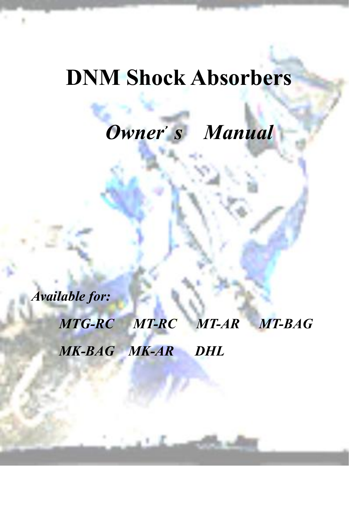## **DNM Shock Absorbers**

*Owner*, *s Manual*

*Available for:*

*MTG-RC MT-RC MT-AR MT-BAG MK-BAG MK-AR DHL*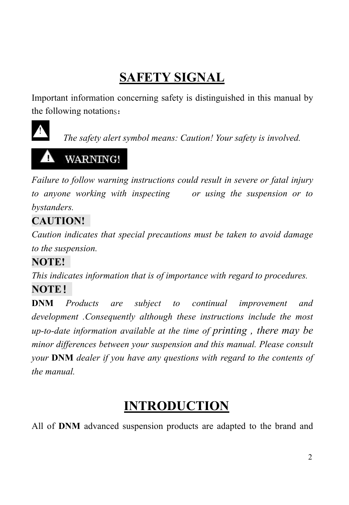## **SAFETY SIGNAL**

Important information concerning safety is distinguished in this manual by the following notations:



*The safety alert symbol means: Caution! Your safety is involved.*

## **WARNING!**

*Failure to follow warning instructions could result in severe or fatalinjury to anyone working with inspecting or using the suspension or to bystanders.*

#### **CAUTION!**

*Caution indicates that special precautions must be taken to avoid damage to the suspension.*

#### **NOTE!**

*This indicates information that is of importance with regard to procedures.*

#### **NOTE**!

**DNM** *Products are subject to continual improvement and development .Consequently although these instructions include the most up-to-date information available at the time ofprinting , there may be minor dif erences between yoursuspension and this manual. Please consult your* **DNM** *dealer if you have anyquestions with regard to the contents of the manual.*

## **INTRODUCTION**

All of **DNM** advanced suspension products are adapted to the brand and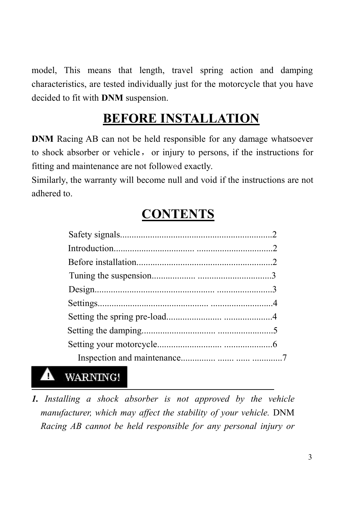model, This means that length, travel spring action and damping characteristics, are tested individually just for the motorcycle that you have decided to fit with **DNM** suspension.

## **BEFORE INSTALLATION**

**DNM** Racing AB can not be held responsible for any damage whatsoever to shock absorber or vehicle, or injury to persons, if the instructions for fitting and maintenance are not followed exactly.

Similarly, the warranty will become null and void if the instructions are not adhered to.

## **CONTENTS**

#### **WARNING!**

4

*1. Installing a shock absorber is not approved by the vehicle manufacturer, which may af ect the stability of your vehicle.* DNM *Racing AB cannot be held responsible for any personal injury or*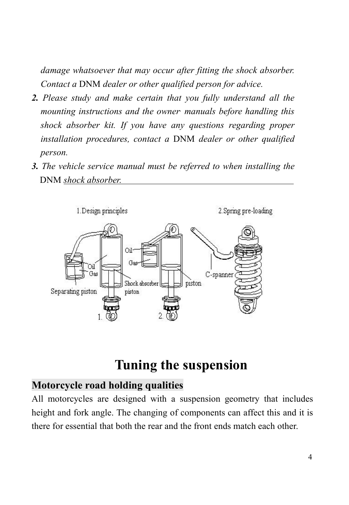*damage whatsoever that may occur after fitting the shock absorber. Contact a* DNM *dealer or other qualified person for advice.*

- *2. Please study and make certain that you fully understand all the mounting instructions and the owner , manuals before handling this shock absorber kit. If you have any questions regarding proper installation procedures, contact a* DNM *dealer or other qualified person.*
- *3. The vehicle service manual must be referred to when installing the* DNM *shock absorber.*



**Tuning the suspension**

#### **Motorcycle road holding qualities**

All motorcycles are designed with a suspension geometry that includes height and fork angle. The changing of components can affect this and it is there for essential that both the rear and the front ends match each other.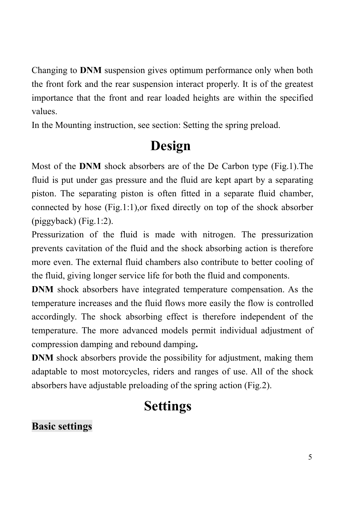Changing to **DNM** suspension gives optimum performance only when both the front fork and the rear suspension interact properly. It is of the greatest importance that the front and rear loaded heights are within the specified values.

In the Mounting instruction, see section: Setting the spring preload.

## **Design**

Most of the **DNM** shock absorbers are of the De Carbon type (Fig.1).The fluid is put under gas pressure and the fluid are kept apart by a separating piston. The separating piston is often fitted in a separate fluid chamber, connected by hose (Fig.1:1),or fixed directly on top of the shock absorber (piggyback) (Fig.1:2).

Pressurization of the fluid is made with nitrogen. The pressurization prevents cavitation of the fluid and the shock absorbing action is therefore more even. The external fluid chambers also contribute to better cooling of the fluid, giving longer service life for both the fluid and components.

**DNM** shock absorbers have integrated temperature compensation. As the temperature increases and the fluid flows more easily the flow is controlled accordingly. The shock absorbing effect is therefore independent of the temperature. The more advanced models permit individual adjustment of compression damping and rebound damping**.**

**DNM** shock absorbers provide the possibility for adjustment, making them adaptable to most motorcycles, riders and ranges of use. All of the shock absorbers have adjustable preloading of the spring action (Fig.2).

## **Settings**

#### **Basic settings**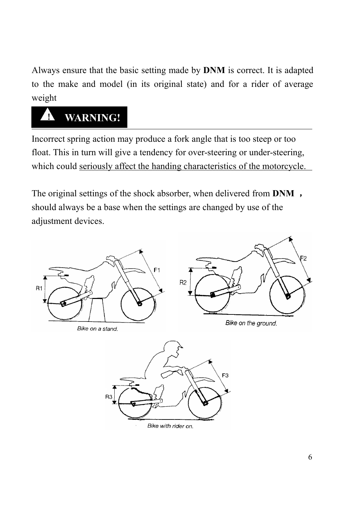Always ensure that the basic setting made by **DNM** is correct. It is adapted to the make and model (in its original state) and for a rider of average weight

#### **WARNING!** Đ

Incorrect spring action may produce a fork angle that is too steep or too float. This in turn will give a tendency for over-steering or under-steering, which could seriously affect the handing characteristics of the motorcycle.

The original settings of the shock absorber, when delivered from **DNM** , should always be a base when the settings are changed by use of the adjustment devices.

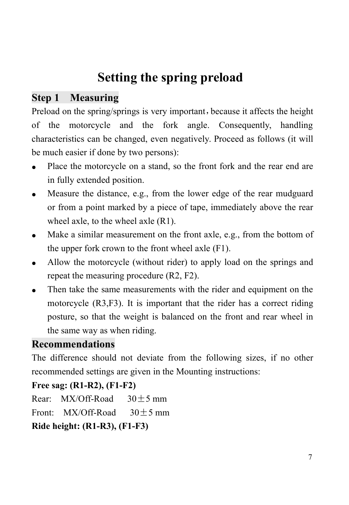## **Setting the spring preload**

#### **Step 1 Measuring**

Preload on the spring/springs is very important, because it affects the height of the motorcycle and the fork angle. Consequently, handling characteristics can be changed, even negatively.Proceed as follows (it will be much easier if done by two persons):

- Place the motorcycle on a stand, so the front fork and the rear end are in fully extended position.
- Measure the distance, e.g., from the lower edge of the rear mudguard or from a point marked by a piece of tape, immediately above the rear wheel axle, to the wheel axle (R1).
- Make a similar measurement on the front axle, e.g., from the bottom of the upper fork crown to the front wheel axle (F1).
- Allow the motorcycle (without rider) to apply load on the springs and repeat the measuring procedure (R2, F2).
- Then take the same measurements with the rider and equipment on the motorcycle  $(R3,F3)$ . It is important that the rider has a correct riding posture, so that the weight is balanced on the front and rear wheel in the same way as when riding.

#### **Recommendations**

The difference should not deviate from the following sizes, if no other recommended settings are given in the Mounting instructions:

#### **Free sag: (R1-R2), (F1-F2)**

Rear:  $MX/Off-Road \quad 30+5 \text{ mm}$ Front:  $MX/Off-Road \t30+5 \text{ mm}$ 

**Ride height: (R1-R3), (F1-F3)**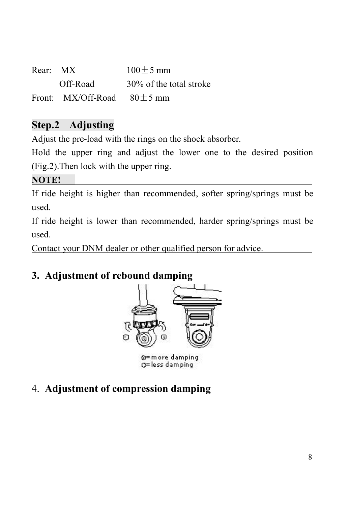| Rear: MX |                                         | $100 + 5$ mm            |
|----------|-----------------------------------------|-------------------------|
|          | Off-Road                                | 30% of the total stroke |
|          | Front: $MX/Off-Road \t 80+5 \text{ mm}$ |                         |

#### **Step.2 Adjusting**

Adjust the pre-load with the rings on the shock absorber.

Hold the upper ring and adjust the lower one to the desired position (Fig.2).Then lock with the upper ring.

#### **NOTE!**

If ride height is higher than recommended, softer spring/springs must be used.

If ride height is lower than recommended, harder spring/springs must be used.

Contact your DNM dealer or other qualified person for advice.

#### **3. Adjustment of rebound damping**



@=more damping Q=less damping

#### 4. **Adjustment of compression damping**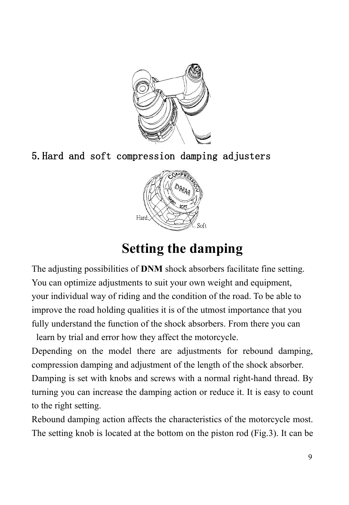

#### 5.Hard and soft compression damping adjusters



## **Setting the damping**

The adjusting possibilities of **DNM** shock absorbers facilitate fine setting. You can optimize adjustments to suit your own weight and equipment,<br>your individual way of riding and the condition of the road. To be able to improve the road holding qualities it is of the utmost importance that you fully understand the function of the shock absorbers. From there you can learn by trial and error how they affect the motorcycle.

Depending on the model there are adjustments for rebound damping, compression damping and adjustment of the length of the shock absorber. Damping is set with knobs and screws with a normal right-hand thread. By turning you can increase the damping action or reduce it. It is easy to count to the right setting.

Rebound damping action affects the characteristics of the motorcycle most. The setting knob is located at the bottom on the piston rod (Fig.3). It can be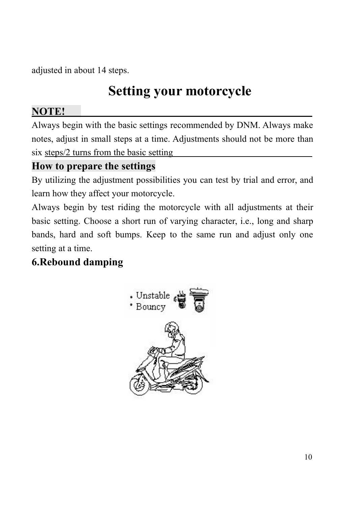adjusted in about 14 steps.

## **Setting your motorcycle**

#### **NOTE!**

Always begin with the basic settings recommended by DNM. Always make notes, adjust in small steps at a time. Adjustments should not be more than six steps/2 turns from the basic setting

#### **How to prepare the settings**

By utilizing the adjustment possibilities you can test by trial and error, and learn how they affect your motorcycle.

Always begin by test riding the motorcycle with all adjustments at their basic setting. Choose a short run of varying character, i.e., long and sharp bands, hard and soft bumps. Keep to the same run and adjust only one setting at a time.

#### **6.Rebound damping**

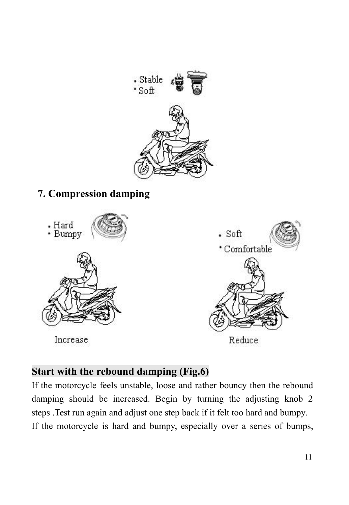

#### **7. Compression damping**



#### **Start with the rebound damping (Fig.6)**

If the motorcycle feels unstable, loose and rather bouncy then the rebound damping should be increased. Begin by turning the adjusting knob 2 steps .Test run again and adjust one step back if it felt too hard and bumpy. If the motorcycle is hard and bumpy, especially over a series of bumps,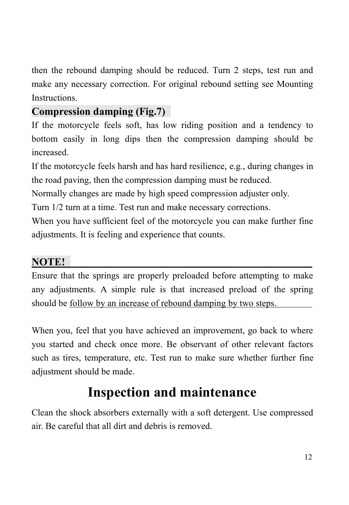then the rebound damping should be reduced. Turn 2 steps, test run and make any necessary correction. For original rebound setting see Mounting **Instructions** 

#### **Compression damping (Fig.7)**

If the motorcycle feels soft, has low riding position and a tendency to bottom easily in long dips then the compression damping should be increased.

If the motorcycle feels harsh and has hard resilience, e.g., during changes in the road paving, then the compression damping must be reduced.Normally changes are made by high speed compression adjuster only.

Turn 1/2 turn at a time. Test run and make necessary corrections.

When you have sufficient feel of the motorcycle you can make further fine adjustments. It is feeling and experience that counts.

#### **NOTE!**

Ensure that the springs are properly preloaded before attempting to make any adjustments. A simple rule is that increased preload of the spring should be follow by an increase of rebound damping by two steps.

When you, feel that you have achieved an improvement, go back to where you started and check once more. Be observant of other relevant factors such as tires, temperature, etc. Test run to make sure whether further fine adjustment should be made.

## **Inspection and maintenance**

Clean the shock absorbers externally with a soft detergent. Use compressed air. Be careful that all dirt and debris is removed.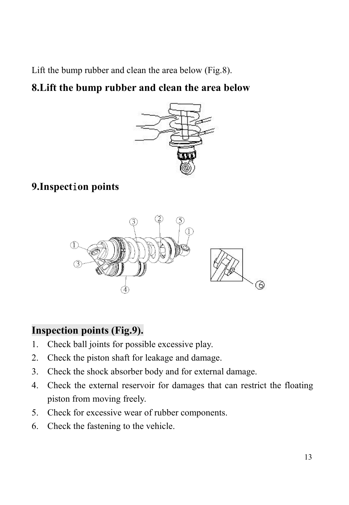Lift the bump rubber and clean the area below (Fig.8).

#### **8.Lift the bump rubber and clean the area below**



#### **9.Inspect**i**on points**



#### **Inspection points (Fig.9).**

- 1. Check ball joints for possible excessive play.
- 2. Check the piston shaft for leakage and damage.
- 3. Check the shock absorber body and forexternal damage.
- 4. Check the external reservoir for damages that can restrict the floating piston from moving freely.
- 5. Check for excessive wear of rubber components.
- 6. Check the fastening to the vehicle.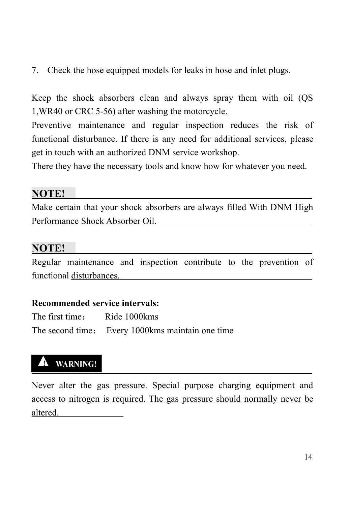7. Check the hose equipped models for leaks in hose and inlet plugs.<br>Keep the shock absorbers clean and always spray them with oil (OS 1,WR40 or CRC 5-56) after washing the motorcycle.

Preventive maintenance and regular inspection reduces the risk of functional disturbance. If there is any need for additional services, please get in touch with an authorized DNM service workshop.

There they have the necessary tools and know how for whatever you need.

#### **NOTE!**

Make certain that your shock absorbers are always filled With DNM High Performance Shock Absorber Oil.

#### **NOTE!**

Regular maintenance and inspection contribute to the prevention of functional disturbances.

#### **Recommended service intervals:**

| The first time: | Ride 1000 km s                                   |
|-----------------|--------------------------------------------------|
|                 | The second time: Every 1000kms maintain one time |

## **A** WARNING!

Never alter the gas pressure. Special purpose charging equipment and access to nitrogen is required. The gas pressure should normally never be altered.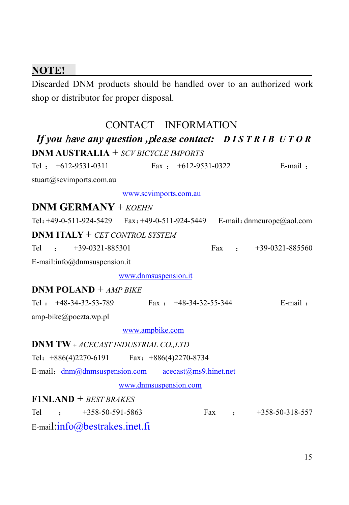#### **NOTE!**

Discarded DNM products should be handled over to an authorized work shop or distributor for proper disposal.

|                                                          | CONTACT INFORMATION     |                     |                           |
|----------------------------------------------------------|-------------------------|---------------------|---------------------------|
| If you have any question, please contact: $DISTRIB UTOR$ |                         |                     |                           |
| <b>DNM AUSTRALIA</b> + SCV BICYCLE IMPORTS               |                         |                     |                           |
| Tel: $+612-9531-0311$<br>stuart@scvimports.com.au        | Fax: $+612-9531-0322$   |                     | $E$ -mail:                |
|                                                          | www.scvimports.com.au   |                     |                           |
| <b>DNM GERMANY</b> + $KOEHN$                             |                         |                     |                           |
| Tel: +49-0-511-924-5429    Fax: +49-0-511-924-5449       |                         |                     | E-mail: dnmeurope@aol.com |
| <b>DNM ITALY</b> + CET CONTROL SYSTEM                    |                         |                     |                           |
| Tel<br>$+39-0321-885301$<br>$\mathbf{r}$                 |                         | Fax                 | +39-0321-885560           |
| E-mail:info@dnmsuspension.it                             |                         |                     |                           |
|                                                          | www.dnmsuspension.it    |                     |                           |
| <b>DNM POLAND</b> + AMP BIKE                             |                         |                     |                           |
| Tel: $+48-34-32-53-789$                                  | Fax: $+48-34-32-55-344$ |                     | $E$ -mail:                |
| amp-bike@poczta.wp.pl                                    |                         |                     |                           |
|                                                          | www.ampbike.com         |                     |                           |
| <b>DNM TW</b> + ACECAST INDUSTRIAL CO.,LTD               |                         |                     |                           |
| Tel: +886(4)2270-6191 Fax: +886(4)2270-8734              |                         |                     |                           |
| E-mail: dnm@dnmsuspension.com acecast@ms9.hinet.net      |                         |                     |                           |
|                                                          | www.dnmsuspension.com   |                     |                           |
| $F1NLAND + BEST BRAKES$                                  |                         |                     |                           |
| Tel<br>$+358-50-591-5863$<br>$\mathbf{r}$                |                         | Fax<br>$\mathbf{r}$ | $+358-50-318-557$         |
| E-mail: $info@$ bestrakes.inet.fi                        |                         |                     |                           |
|                                                          |                         |                     |                           |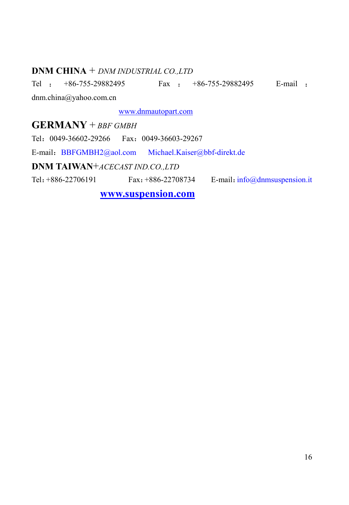#### **DNM CHINA** + *DNM INDUSTRIAL CO.,LTD*

Tel : +86-755-29882495 Fax : +86-755-29882495 E-mail :

dnm.china@yahoo.com.cn

[www.dnmautopart.com](http://www.dnmautopart.com)

**GERMANY** + *BBF GMBH*

Tel:0049-36602-29266 Fax:0049-36603-29267

E-mail:[BBFGMBH2@aol.com](mailto:BBFGMBH2@aol.com) [Michael.Kaiser@bbf-direkt.de](mailto:Michael.Kaiser@bbf-direkt.de)

**DNM TAIWAN**+*ACECAST IND.CO.,LTD*

Tel: +886-22706191 Fax: +886-22708734 E-mail: [info@dnmsuspension.it](mailto:info@dnmsuspension.it)

**[www.suspension.com](http://www.suspension.com)**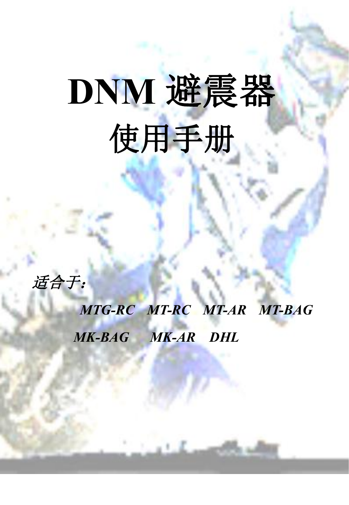# **DNM** 避震器 使用手册



# *MTG-RC MT-RC MT-AR MT-BAG*

17

*MK-BAG MK-AR DHL*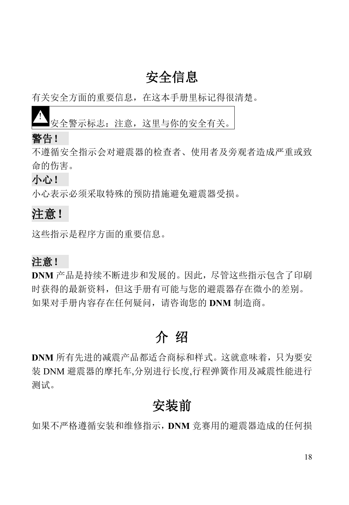## 安全信息

有关安全方面的重要信息,在这本手册里标记得很清楚。

安全警示标志: 注意,这里与你的安全有关。

#### 警告!

不遵循安全指示会对避震器的检查者、使用者及旁观者造成严重或致 命的伤害。

#### 小心!

小心表示必须采取特殊的预防措施避免避震器受损。

#### 注意!

这些指示是程序方面的重要信息。

#### 注意!

**DNM** 产品是持续不断进步和发展的。因此,尽管这些指示包含了印刷 时获得的最新资料,但这手册有可能与您的避震器存在微小的差别。 如果对手册内容存在任何疑问,请咨询您的 **DNM** 制造商。

## かい绍り しゅうしょう かいしん かいしん かいしん かいしゅう

**DNM** 所有先进的减震产品都适合商标和样式。这就意味着,只为要安 装 DNM 避震器的摩托车,分别进行长度,行程弹簧作用及减震性能进行 测试。

## 安装前

如果不严格遵循安装和维修指示,**DNM** 竞赛用的避震器造成的任何损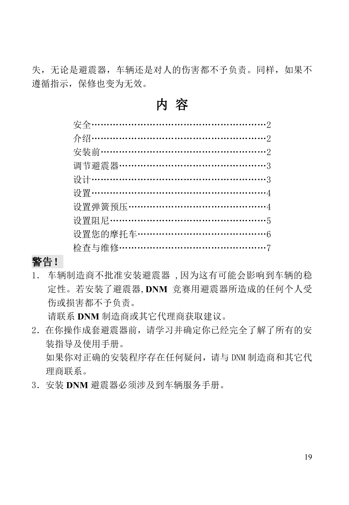失,无论是避震器,车辆还是对人的伤害都不予负责。同样,如果不 遵循指示,保修也变为无效。

| 调节澼震器……………………………………………3  |  |
|--------------------------|--|
| 设计……………………………………………………3  |  |
| 设置……………………………………………………4  |  |
|                          |  |
| 设置弹簧预压………………………………………4   |  |
|                          |  |
| 设置您的摩托车…………………………………………6 |  |
|                          |  |
| 检查与维修……………………………………………7  |  |

### わり 容 しゅうしょう しんこうしょう

#### 警告!

1. 车辆制造商不批准安装避震器 ,因为这有可能会影响到车辆的稳 定性。若安装了避震器,**DNM** 竞赛用避震器所造成的任何个人受 伤或损害都不予负责。

请联系 **DNM** 制造商或其它代理商获取建议。

2.在你操作成套避震器前,请学习并确定你已经完全了解了所有的安 装指导及使用手册。

如果你对正确的安装程序存在任何疑问,请与 DNM 制造商和其它代 理商联系。

3.安装 **DNM** 避震器必须涉及到车辆服务手册。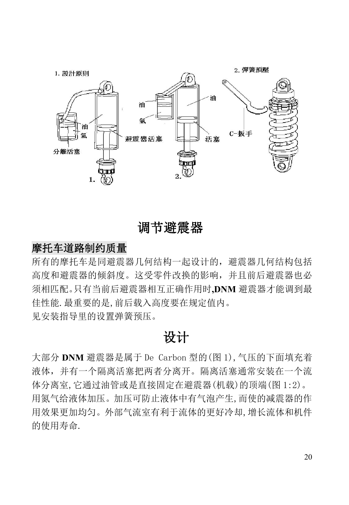

#### 调节避震器

#### 摩托车道路制约质量

所有的摩托车是同避震器几何结构一起设计的,避震器几何结构包括 高度和避震器的倾斜度。这受零件改换的影响,并且前后避震器也必 须相匹配。只有当前后避震器相互正确作用时**,DNM** 避震器才能调到最 佳性能.最重要的是,前后载入高度要在规定值内。 见安装指导里的设置弹簧预压。

#### 设计的工作的工作。

大部分 **DNM** 避震器是属于 De Carbon 型的(图 1),气压的下面填充着 液体,并有一个隔离活塞把两者分离开。隔离活塞通常安装在一个流 体分离室,它通过油管或是直接固定在避震器(机载)的顶端(图 1:2)。 用氮气给液体加压。加压可防止液体中有气泡产生,而使的减震器的作 用效果更加均匀。外部气流室有利于流体的更好冷却,增长流体和机件 的使用寿命.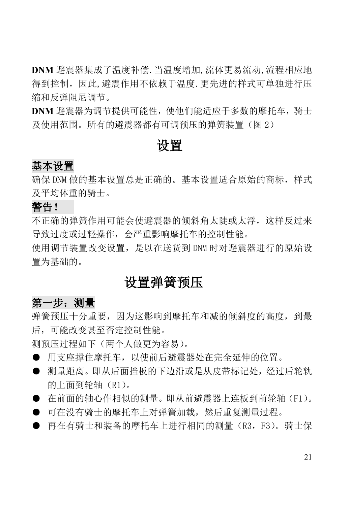**DNM** 避震器集成了温度补偿.当温度增加,流体更易流动,流程相应地 得到控制,因此,避震作用不依赖于温度.更先进的样式可单独进行压 缩和反弹阻尼调节。

**DNM** 避震器为调节提供可能性,使他们能适应于多数的摩托车,骑士 及使用范围。所有的避震器都有可调预压的弹簧装置(图 2)

## 设置

#### 基本设置

确保 DNM 做的基本设置总是正确的。基本设置话合原始的商标,样式 及平均体重的骑士。

#### 警告!

不正确的弹簧作用可能会使避震器的倾斜角太陡或太浮,这样反过来 导致过度或过轻操作,会严重影响摩托车的控制性能。

使用调节装置改变设置,是以在送货到 DNM 时对避震器进行的原始设 置为基础的。

#### 设置弹簧预压

#### 第一步:测量

弹簧预压十分重要,因为这影响到摩托车和减的倾斜度的高度,到最 后,可能改变甚至否定控制性能。

测预压过程如下(两个人做更为容易)。

- 用支座撑住摩托车,以使前后避震器处在完全延伸的位置。
- 测量距离。即从后面挡板的下边沿或是从皮带标记处,经过后轮轨 的上面到轮轴(R1)。
- **●** 在前面的轴心作相似的测量。即从前避震器上连板到前轮轴(F1)。
- 可在没有骑士的摩托车上对弹簧加载,然后重复测量过程。
- 再在有骑士和装备的摩托车上进行相同的测量(R3,F3)。骑士保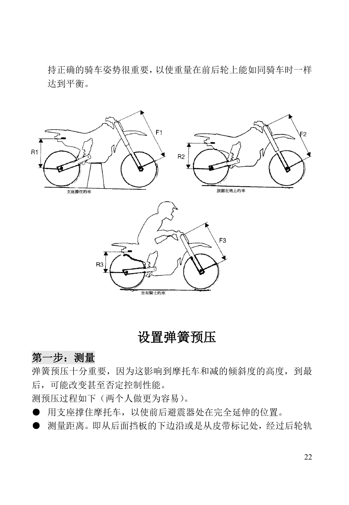持正确的骑车姿势很重要,以使重量在前后轮上能如同骑车时一样 达到平衡。



### 设置弹簧预压

#### 第一步:测量

弹簧预压十分重要,因为这影响到摩托车和减的倾斜度的高度,到最 后,可能改变甚至否定控制性能。

测预压过程如下(两个人做更为容易)。

- 用支座撑住摩托车,以使前后避震器处在完全延伸的位置。
- 测量距离。即从后面挡板的下边沿或是从皮带标记处,经过后轮轨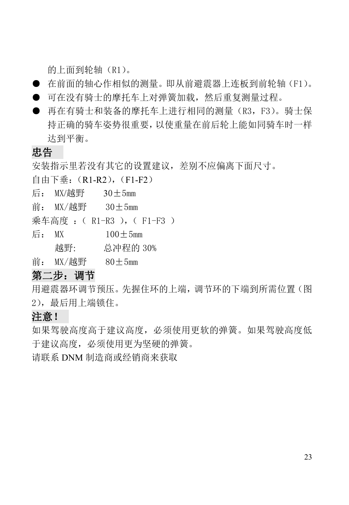的上面到轮轴(R1)。

- 在前面的轴心作相似的测量。即从前避震器上连板到前轮轴(F1)。
- 可在没有骑十的摩托车上对弹簧加载, 然后重复测量过程。
- 再在有骑士和装备的摩托车上进行相同的测量(R3,F3)。骑士保 持正确的骑车姿势很重要,以使重量在前后轮上能如同骑车时一样 达到平衡。

#### 忠告

安装指示里若没有其它的设置建议,差别不应偏离下面尺寸。

自由下垂:(R1-R2),(F1-F2)

- 后: MX/越野 30±5mm
- 前:  $MX/\text{裁野}$  30+5mm
- 乘车高度: (R1-R3 ), (F1-F3 )
- 后: MX 100±5mm
	- 越野: 总冲程的 30%
- 前:  $MX/\text{裁野}$  80±5mm

#### 第二步:调节

用避震器环调节预压。先握住环的上端,调节环的下端到所需位置(图 2),最后用上端锁住。

#### 注意!

如果驾驶高度高于建议高度,必须使用更软的弹簧。如果驾驶高度低 于建议高度,必须使用更为坚硬的弹簧。

请联系 DNM 制造商或经销商来获取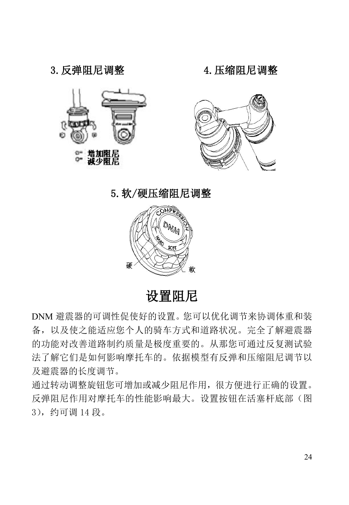3.反弹阻尼调整 4.压缩阻尼调整



5.软/硬压缩阻尼调整



设置阻尼

DNM 避震器的可调性促使好的设置。您可以优化调节来协调体重和装 备,以及使之能适应您个人的骑车方式和道路状况。完全了解避震器 的功能对改善道路制约质量是极度重要的。从那您可通过反复测试验 法了解它们是如何影响摩托车的。依据模型有反弹和压缩阻尼调节以 及避震器的长度调节。

通过转动调整旋钮您可增加或减少阻尼作用,很方便进行正确的设置。 反弹阻尼作用对摩托车的性能影响最大。设置按钮在活塞杆底部(图 3),约可调 14 段。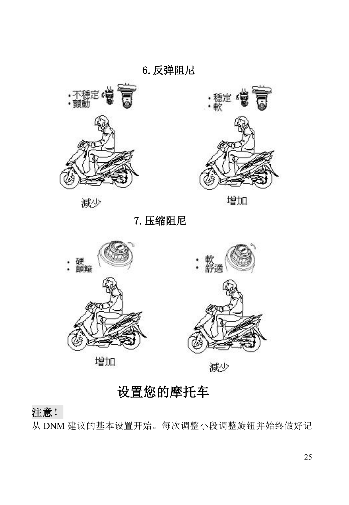

注意!

从 DNM 建议的基本设置开始。每次调整小段调整旋钮并始终做好记

減少

设置您的摩托车

增加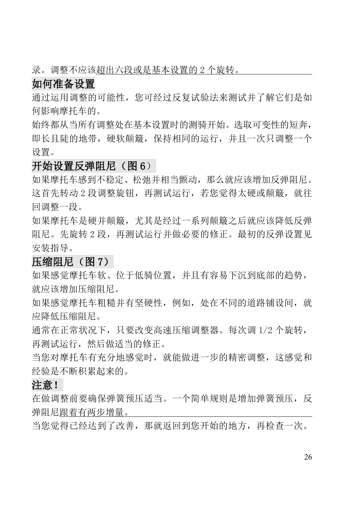录。调整不应该超出六段或是基本设置的 2 个旋转。

#### 如何准备设置

通过运用调整的可能性,您可经过反复试验法来测试并了解它们是如 何影响摩托车的。

始终都从当所有调整处在基本设置时的测骑开始。选取可变性的短奔, 即长且陡的地带,硬软颠簸,保持相同的运行,并且一次只调整一个 设置。

#### 开始设置反弹阻尼(图 6)

如果摩托车感到不稳定、松弛并相当颤动,那么就应该增加反弹阻尼。 这首先转动 2 段调整旋钮,再测试运行,若您觉得太硬或颠簸, 就往 回调整一段。

如果摩托车是硬并颠簸,尤其是经过一系列颠簸之后就应该降低反弹 阻尼。先旋转 2 段,再测试运行并做必要的修正。最初的反弹设置见 安装指导。

#### 压缩阻尼(图 7)

如果感觉摩托车软、位于低骑位置,并且有容易下沉到底部的趋势, 就应该增加压缩阻尼。

如果感觉摩托车粗糙并有坚硬性,例如,处在不同的道路铺设间,就 应降低压缩阻尼。

通常在正常状况下,只要改变高速压缩调整器。每次调 1/2 个旋转, 再测试运行,然后做适当的修正。

当您对摩托车有充分地感觉时,就能做进一步的精密调整,这感觉和 经验是不断积累起来的。

#### 注意!

在做调整前要确保弹簧预压适当。一个简单规则是增加弹簧预压,反 弹阻尼跟着有两步增量。

当您觉得已经达到了改善,那就返回到您开始的地方,再检查一次。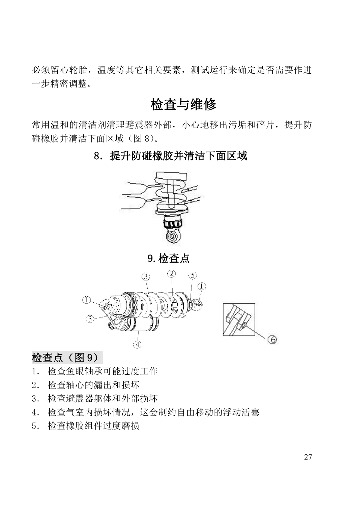必须留心轮胎, 温度等其它相关要素, 测试运行来确定是否需要作讲 一步精密调整。

#### 检查与维修

常用温和的清洁剂清理避震器外部,小心地移出污垢和碎片,提升防 碰橡胶并清洁下面区域(图 8)。

#### 8.提升防碰橡胶并清洁下面区域



9.检查点



#### 检查点(图 9)

- 1. 检查鱼眼轴承可能过度工作
- 2. 检查轴心的漏出和损坏
- 3. 检查避震器躯体和外部损坏
- 4. 检查气室内损坏情况,这会制约自由移动的浮动活塞
- 5. 检查橡胶组件过度磨损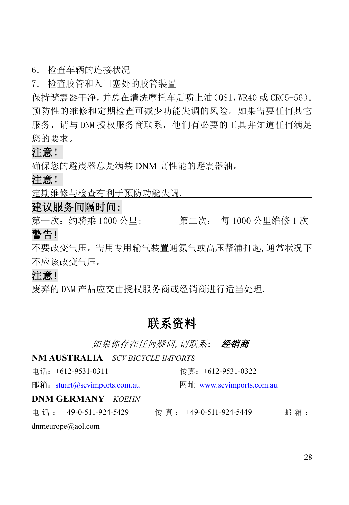#### 6. 检查车辆的连接状况

7. 检查胶管和入口塞处的胶管装置

保持避震器干净,并总在清洗摩托车后喷上油(QS1,WR40 或 CRC5-56)。 预防性的维修和定期检查可减少功能失调的风险。如果需要任何其它 服务,请与 DNM 授权服务商联系, 他们有必要的工具并知道任何满足 您的要求。

#### 注意!

确保您的避震器总是满装 DNM 高性能的避震器油。

#### 注意!

定期维修与检查有利于预防功能失调.

#### 建议服务间隔时间:

第一次:约骑乘 1000 公里; 第二次: 每 1000 公里维修 1 次

#### 警告!

不要改变气压。需用专用输气装置通氮气或高压帮浦打起,通常状况下 不应该改变气压。

#### 注意!

废弃的 DNM 产品应交由授权服务商或经销商进行适当处理.

#### 联系资料

如果你存在任何疑问,请联系: 经销商

#### **NM AUSTRALIA** + *SCV BICYCLE IMPORTS*

| 电话: +612-9531-0311 | 传真: +612-9531-0322 |  |
|--------------------|--------------------|--|
|                    |                    |  |

邮箱:[stuart@scvimports.com.au](mailto:stuart@scvimports.com.au) 网址 [www.scvimports.com.au](http://www.scvimports.com.au)

#### **DNM GERMANY** + *KOEHN*

电话: +49-0-511-924-5429 传真: +49-0-511-924-5449 邮箱:

dnmeurope@aol.com